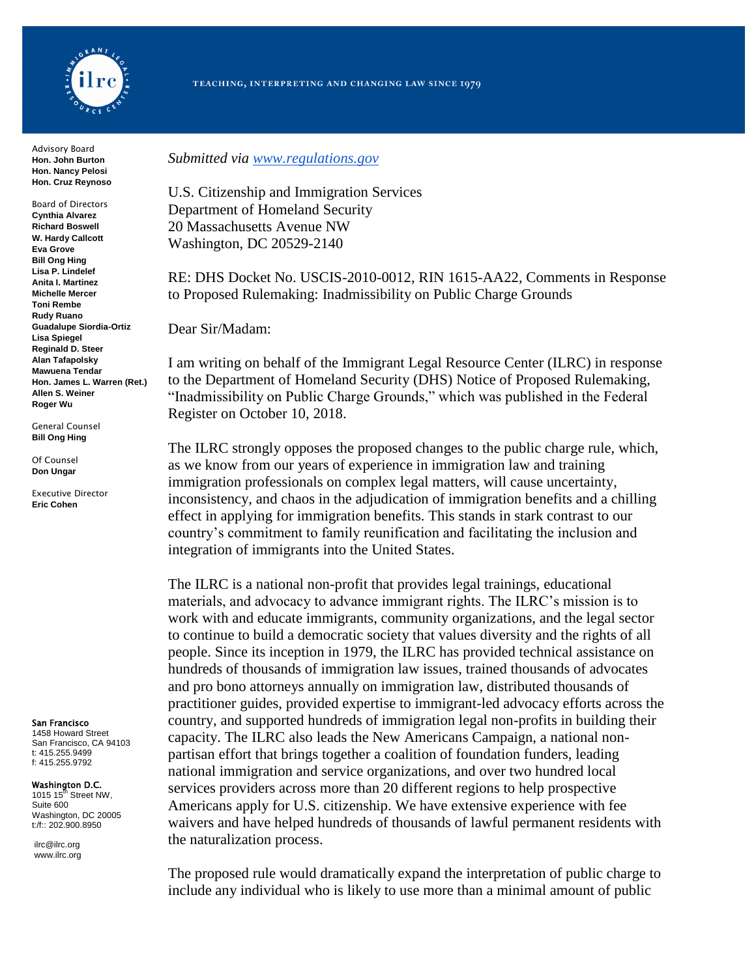

Advisory Board **Hon. John Burton Hon. Nancy Pelosi Hon. Cruz Reynoso**

Board of Directors **Cynthia Alvarez Richard Boswell W. Hardy Callcott Eva Grove Bill Ong Hing Lisa P. Lindelef Anita I. Martinez Michelle Mercer Toni Rembe Rudy Ruano Guadalupe Siordia-Ortiz Lisa Spiegel Reginald D. Steer Alan Tafapolsky Mawuena Tendar Hon. James L. Warren (Ret.) Allen S. Weiner Roger Wu**

General Counsel **Bill Ong Hing**

Of Counsel **Don Ungar**

Executive Director **Eric Cohen**

San Francisco

1458 Howard Street San Francisco, CA 94103 t: 415.255.9499 f: 415.255.9792

Washington D.C.

1015 15 $\text{ft}$  Street NW, Suite 600 Washington, DC 20005 t:/f:: 202.900.8950

ilrc@ilrc.org www.ilrc.org *Submitted via [www.regulations.gov](http://www.regulations.gov/)*

U.S. Citizenship and Immigration Services Department of Homeland Security 20 Massachusetts Avenue NW Washington, DC 20529-2140

RE: DHS Docket No. USCIS-2010-0012, RIN 1615-AA22, Comments in Response to Proposed Rulemaking: Inadmissibility on Public Charge Grounds

Dear Sir/Madam:

I am writing on behalf of the Immigrant Legal Resource Center (ILRC) in response to the Department of Homeland Security (DHS) Notice of Proposed Rulemaking, "Inadmissibility on Public Charge Grounds," which was published in the Federal Register on October 10, 2018.

The ILRC strongly opposes the proposed changes to the public charge rule, which, as we know from our years of experience in immigration law and training immigration professionals on complex legal matters, will cause uncertainty, inconsistency, and chaos in the adjudication of immigration benefits and a chilling effect in applying for immigration benefits. This stands in stark contrast to our country's commitment to family reunification and facilitating the inclusion and integration of immigrants into the United States.

The ILRC is a national non-profit that provides legal trainings, educational materials, and advocacy to advance immigrant rights. The ILRC's mission is to work with and educate immigrants, community organizations, and the legal sector to continue to build a democratic society that values diversity and the rights of all people. Since its inception in 1979, the ILRC has provided technical assistance on hundreds of thousands of immigration law issues, trained thousands of advocates and pro bono attorneys annually on immigration law, distributed thousands of practitioner guides, provided expertise to immigrant-led advocacy efforts across the country, and supported hundreds of immigration legal non-profits in building their capacity. The ILRC also leads the New Americans Campaign, a national nonpartisan effort that brings together a coalition of foundation funders, leading national immigration and service organizations, and over two hundred local services providers across more than 20 different regions to help prospective Americans apply for U.S. citizenship. We have extensive experience with fee waivers and have helped hundreds of thousands of lawful permanent residents with the naturalization process.

The proposed rule would dramatically expand the interpretation of public charge to include any individual who is likely to use more than a minimal amount of public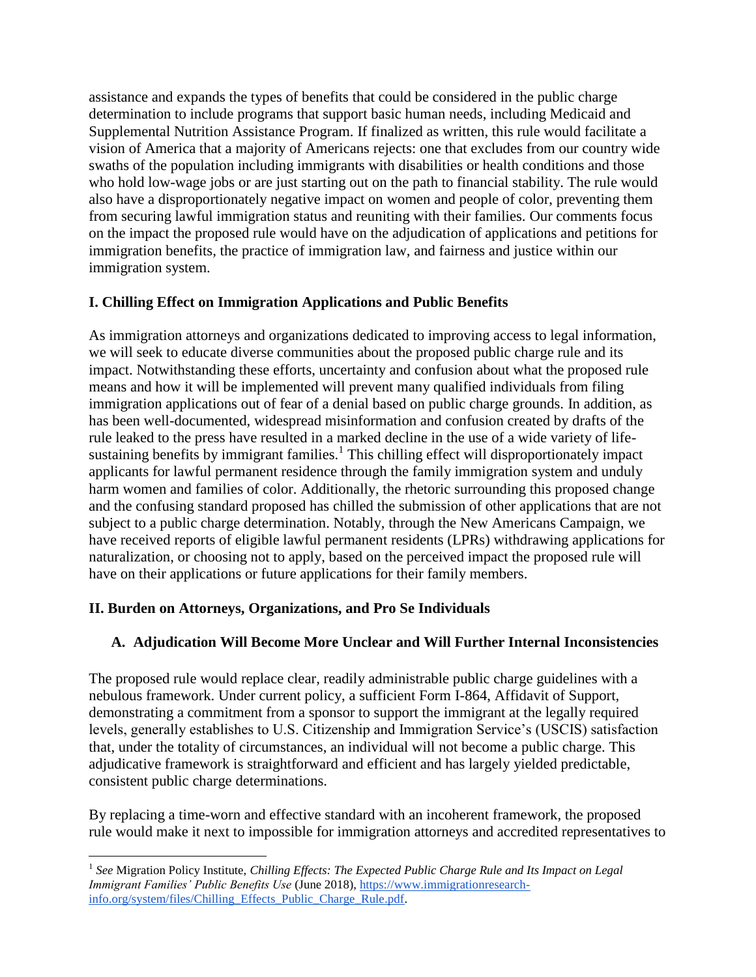assistance and expands the types of benefits that could be considered in the public charge determination to include programs that support basic human needs, including Medicaid and Supplemental Nutrition Assistance Program. If finalized as written, this rule would facilitate a vision of America that a majority of Americans rejects: one that excludes from our country wide swaths of the population including immigrants with disabilities or health conditions and those who hold low-wage jobs or are just starting out on the path to financial stability. The rule would also have a disproportionately negative impact on women and people of color, preventing them from securing lawful immigration status and reuniting with their families. Our comments focus on the impact the proposed rule would have on the adjudication of applications and petitions for immigration benefits, the practice of immigration law, and fairness and justice within our immigration system.

## **I. Chilling Effect on Immigration Applications and Public Benefits**

As immigration attorneys and organizations dedicated to improving access to legal information, we will seek to educate diverse communities about the proposed public charge rule and its impact. Notwithstanding these efforts, uncertainty and confusion about what the proposed rule means and how it will be implemented will prevent many qualified individuals from filing immigration applications out of fear of a denial based on public charge grounds. In addition, as has been well-documented, widespread misinformation and confusion created by drafts of the rule leaked to the press have resulted in a marked decline in the use of a wide variety of lifesustaining benefits by immigrant families.<sup>1</sup> This chilling effect will disproportionately impact applicants for lawful permanent residence through the family immigration system and unduly harm women and families of color. Additionally, the rhetoric surrounding this proposed change and the confusing standard proposed has chilled the submission of other applications that are not subject to a public charge determination. Notably, through the New Americans Campaign, we have received reports of eligible lawful permanent residents (LPRs) withdrawing applications for naturalization, or choosing not to apply, based on the perceived impact the proposed rule will have on their applications or future applications for their family members.

### **II. Burden on Attorneys, Organizations, and Pro Se Individuals**

 $\overline{a}$ 

# **A. Adjudication Will Become More Unclear and Will Further Internal Inconsistencies**

The proposed rule would replace clear, readily administrable public charge guidelines with a nebulous framework. Under current policy, a sufficient Form I-864, Affidavit of Support, demonstrating a commitment from a sponsor to support the immigrant at the legally required levels, generally establishes to U.S. Citizenship and Immigration Service's (USCIS) satisfaction that, under the totality of circumstances, an individual will not become a public charge. This adjudicative framework is straightforward and efficient and has largely yielded predictable, consistent public charge determinations.

By replacing a time-worn and effective standard with an incoherent framework, the proposed rule would make it next to impossible for immigration attorneys and accredited representatives to

<sup>&</sup>lt;sup>1</sup> See Migration Policy Institute, *Chilling Effects: The Expected Public Charge Rule and Its Impact on Legal Immigrant Families' Public Benefits Use* (June 2018), [https://www.immigrationresearch](https://www.immigrationresearch-info.org/system/files/Chilling_Effects_Public_Charge_Rule.pdf)[info.org/system/files/Chilling\\_Effects\\_Public\\_Charge\\_Rule.pdf.](https://www.immigrationresearch-info.org/system/files/Chilling_Effects_Public_Charge_Rule.pdf)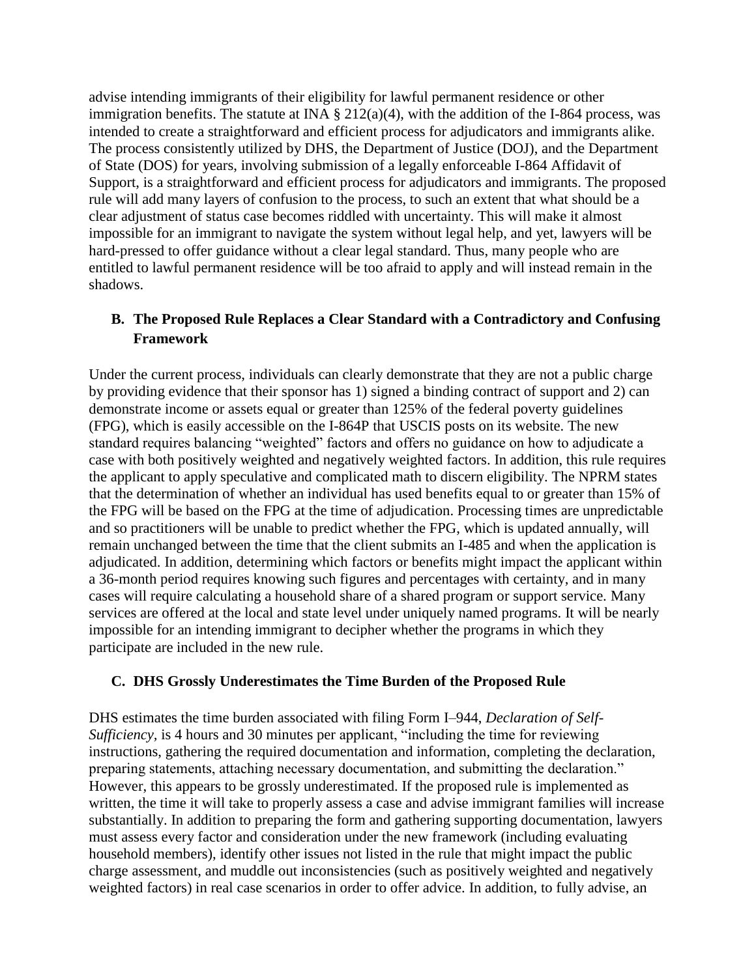advise intending immigrants of their eligibility for lawful permanent residence or other immigration benefits. The statute at INA  $\S 212(a)(4)$ , with the addition of the I-864 process, was intended to create a straightforward and efficient process for adjudicators and immigrants alike. The process consistently utilized by DHS, the Department of Justice (DOJ), and the Department of State (DOS) for years, involving submission of a legally enforceable I-864 Affidavit of Support, is a straightforward and efficient process for adjudicators and immigrants. The proposed rule will add many layers of confusion to the process, to such an extent that what should be a clear adjustment of status case becomes riddled with uncertainty. This will make it almost impossible for an immigrant to navigate the system without legal help, and yet, lawyers will be hard-pressed to offer guidance without a clear legal standard. Thus, many people who are entitled to lawful permanent residence will be too afraid to apply and will instead remain in the shadows.

# **B. The Proposed Rule Replaces a Clear Standard with a Contradictory and Confusing Framework**

Under the current process, individuals can clearly demonstrate that they are not a public charge by providing evidence that their sponsor has 1) signed a binding contract of support and 2) can demonstrate income or assets equal or greater than 125% of the federal poverty guidelines (FPG), which is easily accessible on the I-864P that USCIS posts on its website. The new standard requires balancing "weighted" factors and offers no guidance on how to adjudicate a case with both positively weighted and negatively weighted factors. In addition, this rule requires the applicant to apply speculative and complicated math to discern eligibility. The NPRM states that the determination of whether an individual has used benefits equal to or greater than 15% of the FPG will be based on the FPG at the time of adjudication. Processing times are unpredictable and so practitioners will be unable to predict whether the FPG, which is updated annually, will remain unchanged between the time that the client submits an I-485 and when the application is adjudicated. In addition, determining which factors or benefits might impact the applicant within a 36-month period requires knowing such figures and percentages with certainty, and in many cases will require calculating a household share of a shared program or support service. Many services are offered at the local and state level under uniquely named programs. It will be nearly impossible for an intending immigrant to decipher whether the programs in which they participate are included in the new rule.

### **C. DHS Grossly Underestimates the Time Burden of the Proposed Rule**

DHS estimates the time burden associated with filing Form I–944, *Declaration of Self-Sufficiency,* is 4 hours and 30 minutes per applicant, "including the time for reviewing instructions, gathering the required documentation and information, completing the declaration, preparing statements, attaching necessary documentation, and submitting the declaration." However, this appears to be grossly underestimated. If the proposed rule is implemented as written, the time it will take to properly assess a case and advise immigrant families will increase substantially. In addition to preparing the form and gathering supporting documentation, lawyers must assess every factor and consideration under the new framework (including evaluating household members), identify other issues not listed in the rule that might impact the public charge assessment, and muddle out inconsistencies (such as positively weighted and negatively weighted factors) in real case scenarios in order to offer advice. In addition, to fully advise, an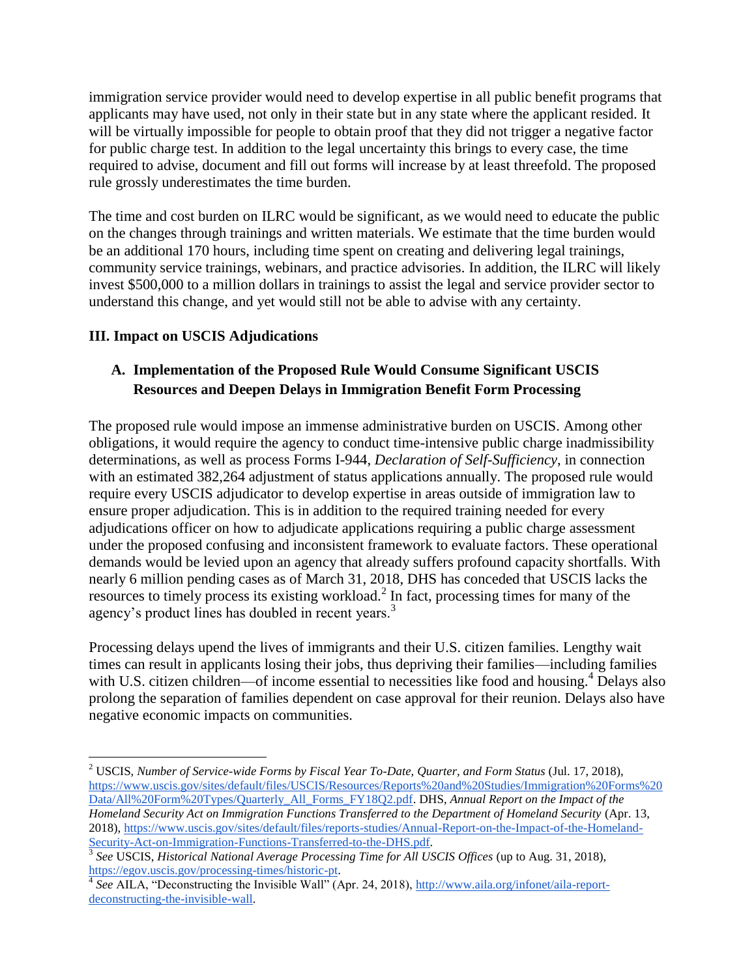immigration service provider would need to develop expertise in all public benefit programs that applicants may have used, not only in their state but in any state where the applicant resided. It will be virtually impossible for people to obtain proof that they did not trigger a negative factor for public charge test. In addition to the legal uncertainty this brings to every case, the time required to advise, document and fill out forms will increase by at least threefold. The proposed rule grossly underestimates the time burden.

The time and cost burden on ILRC would be significant, as we would need to educate the public on the changes through trainings and written materials. We estimate that the time burden would be an additional 170 hours, including time spent on creating and delivering legal trainings, community service trainings, webinars, and practice advisories. In addition, the ILRC will likely invest \$500,000 to a million dollars in trainings to assist the legal and service provider sector to understand this change, and yet would still not be able to advise with any certainty.

## **III. Impact on USCIS Adjudications**

 $\overline{a}$ 

# **A. Implementation of the Proposed Rule Would Consume Significant USCIS Resources and Deepen Delays in Immigration Benefit Form Processing**

The proposed rule would impose an immense administrative burden on USCIS. Among other obligations, it would require the agency to conduct time-intensive public charge inadmissibility determinations, as well as process Forms I-944, *Declaration of Self-Sufficiency*, in connection with an estimated 382,264 adjustment of status applications annually. The proposed rule would require every USCIS adjudicator to develop expertise in areas outside of immigration law to ensure proper adjudication. This is in addition to the required training needed for every adjudications officer on how to adjudicate applications requiring a public charge assessment under the proposed confusing and inconsistent framework to evaluate factors. These operational demands would be levied upon an agency that already suffers profound capacity shortfalls. With nearly 6 million pending cases as of March 31, 2018, DHS has conceded that USCIS lacks the resources to timely process its existing workload.<sup>2</sup> In fact, processing times for many of the agency's product lines has doubled in recent years.<sup>3</sup>

Processing delays upend the lives of immigrants and their U.S. citizen families. Lengthy wait times can result in applicants losing their jobs, thus depriving their families—including families with U.S. citizen children—of income essential to necessities like food and housing.<sup>4</sup> Delays also prolong the separation of families dependent on case approval for their reunion. Delays also have negative economic impacts on communities.

<sup>&</sup>lt;sup>2</sup> USCIS[,](https://www.uscis.gov/sites/default/files/USCIS/Resources/Reports%20and%20Studies/Immigration%20Forms%20Data/All%20Form%20Types/Quarterly_All_Forms_FY18Q2.pdf) *Number of Service-wide Forms by Fiscal Year To-Date, Quarter, and Form Status (Jul. 17, 2018),* [https://www.uscis.gov/sites/default/files/USCIS/Resources/Reports%20and%20Studies/Immigration%20Forms%20](https://www.uscis.gov/sites/default/files/USCIS/Resources/Reports%20and%20Studies/Immigration%20Forms%20Data/All%20Form%20Types/Quarterly_All_Forms_FY18Q2.pdf) [Data/All%20Form%20Types/Quarterly\\_All\\_Forms\\_FY18Q2.pdf.](https://www.uscis.gov/sites/default/files/USCIS/Resources/Reports%20and%20Studies/Immigration%20Forms%20Data/All%20Form%20Types/Quarterly_All_Forms_FY18Q2.pdf) DHS, *Annual Report on the Impact of the Homeland Security Act on Immigration Functions Transferred to the Department of Homeland Security* (Apr. 13, 2018), [https://www.uscis.gov/sites/default/files/reports-studies/Annual-Report-on-the-Impact-of-the-Homeland-](https://www.uscis.gov/sites/default/files/reports-studies/Annual-Report-on-the-Impact-of-the-Homeland-Security-Act-on-Immigration-Functions-Transferred-to-the-DHS.pdf)[Security-Act-on-Immigration-Functions-Transferred-to-the-DHS.pdf.](https://www.uscis.gov/sites/default/files/reports-studies/Annual-Report-on-the-Impact-of-the-Homeland-Security-Act-on-Immigration-Functions-Transferred-to-the-DHS.pdf) 3 *See* USCIS, *Historical National Average Processing Time for All USCIS Offices* (up to Aug. 31, 2018)[,](https://egov.uscis.gov/processing-times/historic-pt)

[https://egov.uscis.gov/processing-times/historic-pt.](https://egov.uscis.gov/processing-times/historic-pt)

<sup>&</sup>lt;sup>4</sup> See AILA[,](http://www.aila.org/infonet/aila-report-deconstructing-the-invisible-wall) "Deconstructing the Invisible Wall" (Apr. 24, 2018), [http://www.aila.org/infonet/aila-report](http://www.aila.org/infonet/aila-report-deconstructing-the-invisible-wall)[deconstructing-the-invisible-wall.](http://www.aila.org/infonet/aila-report-deconstructing-the-invisible-wall)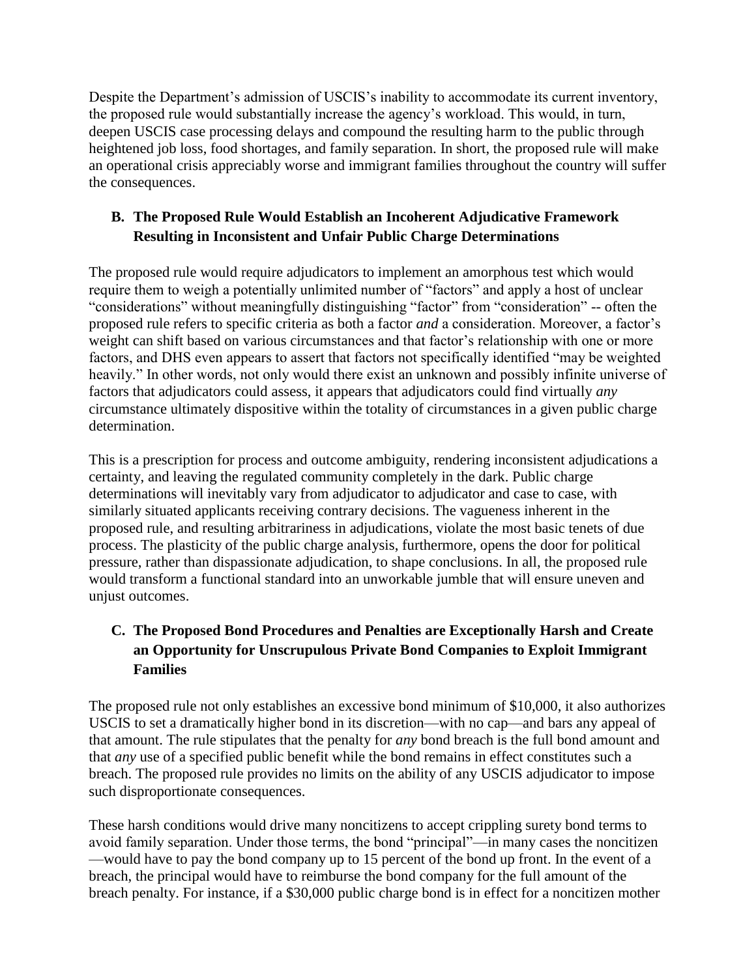Despite the Department's admission of USCIS's inability to accommodate its current inventory, the proposed rule would substantially increase the agency's workload. This would, in turn, deepen USCIS case processing delays and compound the resulting harm to the public through heightened job loss, food shortages, and family separation. In short, the proposed rule will make an operational crisis appreciably worse and immigrant families throughout the country will suffer the consequences.

# **B. The Proposed Rule Would Establish an Incoherent Adjudicative Framework Resulting in Inconsistent and Unfair Public Charge Determinations**

The proposed rule would require adjudicators to implement an amorphous test which would require them to weigh a potentially unlimited number of "factors" and apply a host of unclear "considerations" without meaningfully distinguishing "factor" from "consideration" -- often the proposed rule refers to specific criteria as both a factor *and* a consideration. Moreover, a factor's weight can shift based on various circumstances and that factor's relationship with one or more factors, and DHS even appears to assert that factors not specifically identified "may be weighted heavily." In other words, not only would there exist an unknown and possibly infinite universe of factors that adjudicators could assess, it appears that adjudicators could find virtually *any* circumstance ultimately dispositive within the totality of circumstances in a given public charge determination.

This is a prescription for process and outcome ambiguity, rendering inconsistent adjudications a certainty, and leaving the regulated community completely in the dark. Public charge determinations will inevitably vary from adjudicator to adjudicator and case to case, with similarly situated applicants receiving contrary decisions. The vagueness inherent in the proposed rule, and resulting arbitrariness in adjudications, violate the most basic tenets of due process. The plasticity of the public charge analysis, furthermore, opens the door for political pressure, rather than dispassionate adjudication, to shape conclusions. In all, the proposed rule would transform a functional standard into an unworkable jumble that will ensure uneven and unjust outcomes.

# **C. The Proposed Bond Procedures and Penalties are Exceptionally Harsh and Create an Opportunity for Unscrupulous Private Bond Companies to Exploit Immigrant Families**

The proposed rule not only establishes an excessive bond minimum of \$10,000, it also authorizes USCIS to set a dramatically higher bond in its discretion—with no cap—and bars any appeal of that amount. The rule stipulates that the penalty for *any* bond breach is the full bond amount and that *any* use of a specified public benefit while the bond remains in effect constitutes such a breach. The proposed rule provides no limits on the ability of any USCIS adjudicator to impose such disproportionate consequences.

These harsh conditions would drive many noncitizens to accept crippling surety bond terms to avoid family separation. Under those terms, the bond "principal"—in many cases the noncitizen —would have to pay the bond company up to 15 percent of the bond up front. In the event of a breach, the principal would have to reimburse the bond company for the full amount of the breach penalty. For instance, if a \$30,000 public charge bond is in effect for a noncitizen mother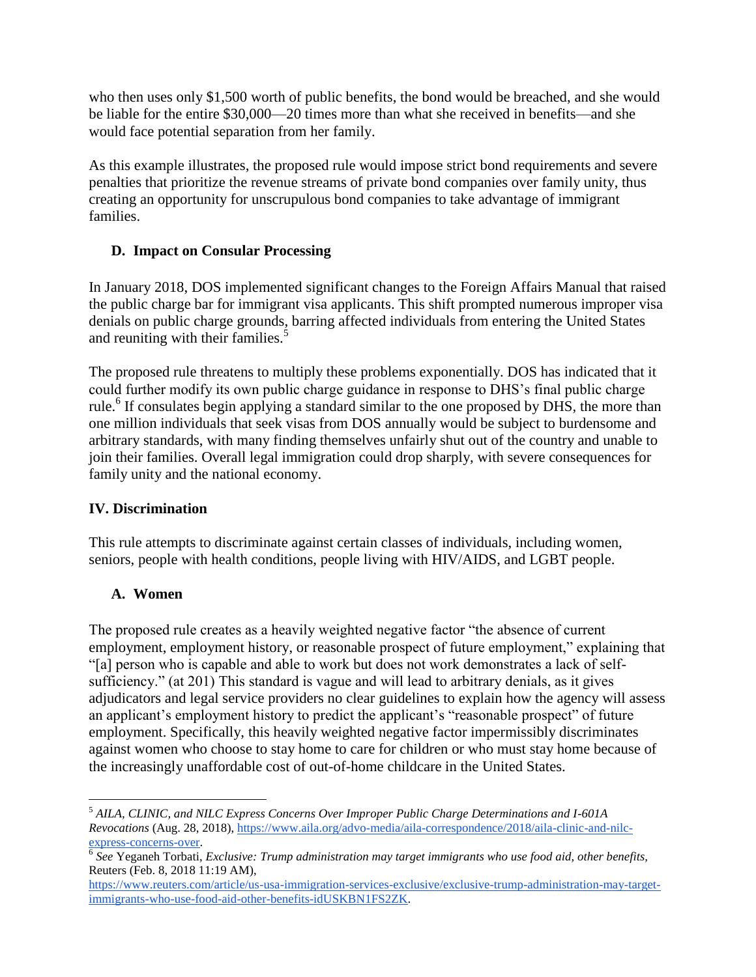who then uses only \$1,500 worth of public benefits, the bond would be breached, and she would be liable for the entire \$30,000—20 times more than what she received in benefits—and she would face potential separation from her family.

As this example illustrates, the proposed rule would impose strict bond requirements and severe penalties that prioritize the revenue streams of private bond companies over family unity, thus creating an opportunity for unscrupulous bond companies to take advantage of immigrant families.

## **D. Impact on Consular Processing**

In January 2018, DOS implemented significant changes to the Foreign Affairs Manual that raised the public charge bar for immigrant visa applicants. This shift prompted numerous improper visa denials on public charge grounds, barring affected individuals from entering the United States and reuniting with their families.<sup>5</sup>

The proposed rule threatens to multiply these problems exponentially. DOS has indicated that it could further modify its own public charge guidance in response to DHS's final public charge rule.<sup>6</sup> If consulates begin applying a standard similar to the one proposed by DHS, the more than one million individuals that seek visas from DOS annually would be subject to burdensome and arbitrary standards, with many finding themselves unfairly shut out of the country and unable to join their families. Overall legal immigration could drop sharply, with severe consequences for family unity and the national economy.

### **IV. Discrimination**

This rule attempts to discriminate against certain classes of individuals, including women, seniors, people with health conditions, people living with HIV/AIDS, and LGBT people.

# **A. Women**

 $\overline{a}$ 

The proposed rule creates as a heavily weighted negative factor "the absence of current employment, employment history, or reasonable prospect of future employment," explaining that "[a] person who is capable and able to work but does not work demonstrates a lack of selfsufficiency." (at 201) This standard is vague and will lead to arbitrary denials, as it gives adjudicators and legal service providers no clear guidelines to explain how the agency will assess an applicant's employment history to predict the applicant's "reasonable prospect" of future employment. Specifically, this heavily weighted negative factor impermissibly discriminates against women who choose to stay home to care for children or who must stay home because of the increasingly unaffordable cost of out-of-home childcare in the United States.

<sup>5</sup> *AILA, CLINIC, and NILC Express Concerns Over Improper Public Charge Determinations and I-601A Revocations* (Aug. 28, 2018), [https://www.aila.org/advo-media/aila-correspondence/2018/aila-clinic-and-nilc](https://www.aila.org/advo-media/aila-correspondence/2018/aila-clinic-and-nilc-express-concerns-over)[express-concerns-over.](https://www.aila.org/advo-media/aila-correspondence/2018/aila-clinic-and-nilc-express-concerns-over)

<sup>6</sup> *See* Yeganeh Torbati, *Exclusive: Trump administration may target immigrants who use food aid, other benefits,* Reuters (Feb. 8, 2018 11:19 AM),

[https://www.reuters.com/article/us-usa-immigration-services-exclusive/exclusive-trump-administration-may-target](https://www.reuters.com/article/us-usa-immigration-services-exclusive/exclusive-trump-administration-may-target-immigrants-who-use-food-aid-other-benefits-idUSKBN1FS2ZK)[immigrants-who-use-food-aid-other-benefits-idUSKBN1FS2ZK.](https://www.reuters.com/article/us-usa-immigration-services-exclusive/exclusive-trump-administration-may-target-immigrants-who-use-food-aid-other-benefits-idUSKBN1FS2ZK)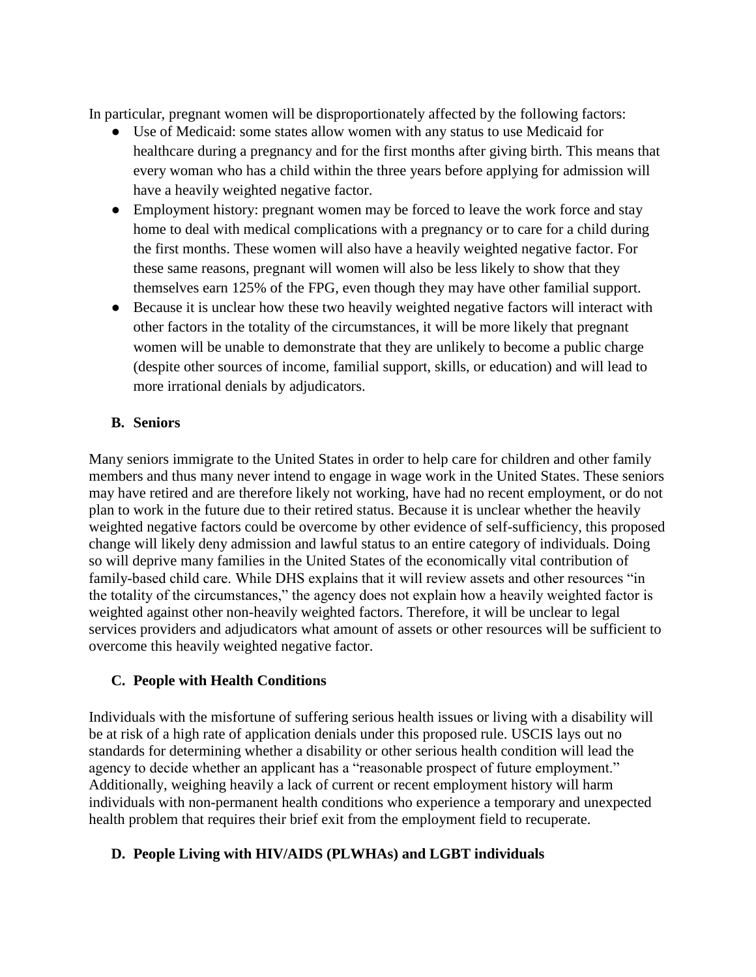In particular, pregnant women will be disproportionately affected by the following factors:

- Use of Medicaid: some states allow women with any status to use Medicaid for healthcare during a pregnancy and for the first months after giving birth. This means that every woman who has a child within the three years before applying for admission will have a heavily weighted negative factor.
- Employment history: pregnant women may be forced to leave the work force and stay home to deal with medical complications with a pregnancy or to care for a child during the first months. These women will also have a heavily weighted negative factor. For these same reasons, pregnant will women will also be less likely to show that they themselves earn 125% of the FPG, even though they may have other familial support.
- Because it is unclear how these two heavily weighted negative factors will interact with other factors in the totality of the circumstances, it will be more likely that pregnant women will be unable to demonstrate that they are unlikely to become a public charge (despite other sources of income, familial support, skills, or education) and will lead to more irrational denials by adjudicators.

#### **B. Seniors**

Many seniors immigrate to the United States in order to help care for children and other family members and thus many never intend to engage in wage work in the United States. These seniors may have retired and are therefore likely not working, have had no recent employment, or do not plan to work in the future due to their retired status. Because it is unclear whether the heavily weighted negative factors could be overcome by other evidence of self-sufficiency, this proposed change will likely deny admission and lawful status to an entire category of individuals. Doing so will deprive many families in the United States of the economically vital contribution of family-based child care. While DHS explains that it will review assets and other resources "in the totality of the circumstances," the agency does not explain how a heavily weighted factor is weighted against other non-heavily weighted factors. Therefore, it will be unclear to legal services providers and adjudicators what amount of assets or other resources will be sufficient to overcome this heavily weighted negative factor.

### **C. People with Health Conditions**

Individuals with the misfortune of suffering serious health issues or living with a disability will be at risk of a high rate of application denials under this proposed rule. USCIS lays out no standards for determining whether a disability or other serious health condition will lead the agency to decide whether an applicant has a "reasonable prospect of future employment." Additionally, weighing heavily a lack of current or recent employment history will harm individuals with non-permanent health conditions who experience a temporary and unexpected health problem that requires their brief exit from the employment field to recuperate.

### **D. People Living with HIV/AIDS (PLWHAs) and LGBT individuals**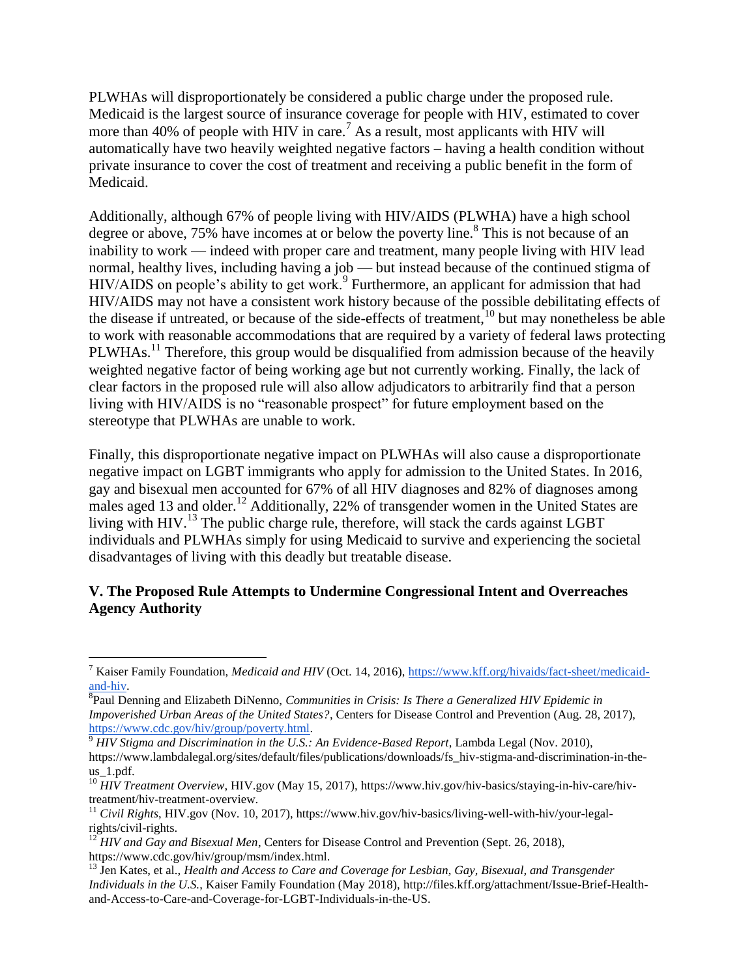PLWHAs will disproportionately be considered a public charge under the proposed rule. Medicaid is the largest source of insurance coverage for people with HIV, estimated to cover more than 40% of people with HIV in care.<sup>7</sup> As a result, most applicants with HIV will automatically have two heavily weighted negative factors – having a health condition without private insurance to cover the cost of treatment and receiving a public benefit in the form of Medicaid.

Additionally, although 67% of people living with HIV/AIDS (PLWHA) have a high school degree or above, 75% have incomes at or below the poverty line.<sup>8</sup> This is not because of an inability to work — indeed with proper care and treatment, many people living with HIV lead normal, healthy lives, including having a job — but instead because of the continued stigma of HIV/AIDS on people's ability to get work.<sup>9</sup> Furthermore, an applicant for admission that had HIV/AIDS may not have a consistent work history because of the possible debilitating effects of the disease if untreated, or because of the side-effects of treatment,<sup>10</sup> but may nonetheless be able to work with reasonable accommodations that are required by a variety of federal laws protecting PLWHAs.<sup>11</sup> Therefore, this group would be disqualified from admission because of the heavily weighted negative factor of being working age but not currently working. Finally, the lack of clear factors in the proposed rule will also allow adjudicators to arbitrarily find that a person living with HIV/AIDS is no "reasonable prospect" for future employment based on the stereotype that PLWHAs are unable to work.

Finally, this disproportionate negative impact on PLWHAs will also cause a disproportionate negative impact on LGBT immigrants who apply for admission to the United States. In 2016, gay and bisexual men accounted for 67% of all HIV diagnoses and 82% of diagnoses among males aged 13 and older.<sup>12</sup> Additionally, 22% of transgender women in the United States are living with HIV.<sup>13</sup> The public charge rule, therefore, will stack the cards against LGBT individuals and PLWHAs simply for using Medicaid to survive and experiencing the societal disadvantages of living with this deadly but treatable disease.

### **V. The Proposed Rule Attempts to Undermine Congressional Intent and Overreaches Agency Authority**

<sup>12</sup> *HIV and Gay and Bisexual Men*, Centers for Disease Control and Prevention (Sept. 26, 2018[\),](https://www.cdc.gov/hiv/group/msm/index.html) [https://www.cdc.gov/hiv/group/msm/index.html.](https://www.cdc.gov/hiv/group/msm/index.html)

<sup>7</sup> Kaiser Family Foundation, *Medicaid and HIV* (Oct. 14, 2016), [https://www.kff.org/hivaids/fact-sheet/medicaid](https://www.kff.org/hivaids/fact-sheet/medicaid-and-hiv)[and-hiv.](https://www.kff.org/hivaids/fact-sheet/medicaid-and-hiv)

<sup>8</sup> Paul Denning and Elizabeth DiNenno, *Communities in Crisis: Is There a Generalized HIV Epidemic in Impoverished Urban Areas of the United States?*, Centers for Disease Control and Prevention (Aug. 28, 2017), [https://www.cdc.gov/hiv/group/poverty.html.](https://www.cdc.gov/hiv/group/poverty.html)

 $\frac{9}{9}$  HIV Stigma and Discrimination in the U.S.: An Evidence-Based Report[,](https://www.lambdalegal.org/sites/default/files/publications/downloads/fs_hiv-stigma-and-discrimination-in-the-us_1.pdf) Lambda Legal (Nov. 2010), [https://www.lambdalegal.org/sites/default/files/publications/downloads/fs\\_hiv-stigma-and-discrimination-in-the](https://www.lambdalegal.org/sites/default/files/publications/downloads/fs_hiv-stigma-and-discrimination-in-the-us_1.pdf)[us\\_1.pdf.](https://www.lambdalegal.org/sites/default/files/publications/downloads/fs_hiv-stigma-and-discrimination-in-the-us_1.pdf)

<sup>&</sup>lt;sup>10</sup> HIV Treatment Overview, HIV.gov (May 15, 2017), [https://www.hiv.gov/hiv-basics/staying-in-hiv-care/hiv](https://www.hiv.gov/hiv-basics/staying-in-hiv-care/hiv-treatment/hiv-treatment-overview)[treatment/hiv-treatment-overview.](https://www.hiv.gov/hiv-basics/staying-in-hiv-care/hiv-treatment/hiv-treatment-overview)

<sup>11</sup> *Civil Rights*, HIV.gov (Nov. 10, 2017), https://www.hiv.gov/hiv-basics/living-well-with-hiv/your-legalrights/civil-rights.

<sup>13</sup> Jen Kates, et al., *Health and Access to Care and Coverage for Lesbian, Gay, Bisexual, and Transgender Individuals in the U.S.*, Kaiser Family Foundation (May 2018), [http://files.kff.org/attachment/Issue-Brief-Health](http://files.kff.org/attachment/Issue-Brief-Health-and-Access-to-Care-and-Coverage-for-LGBT-Individuals-in-the-US)[and-Access-to-Care-and-Coverage-for-LGBT-Individuals-in-the-US.](http://files.kff.org/attachment/Issue-Brief-Health-and-Access-to-Care-and-Coverage-for-LGBT-Individuals-in-the-US)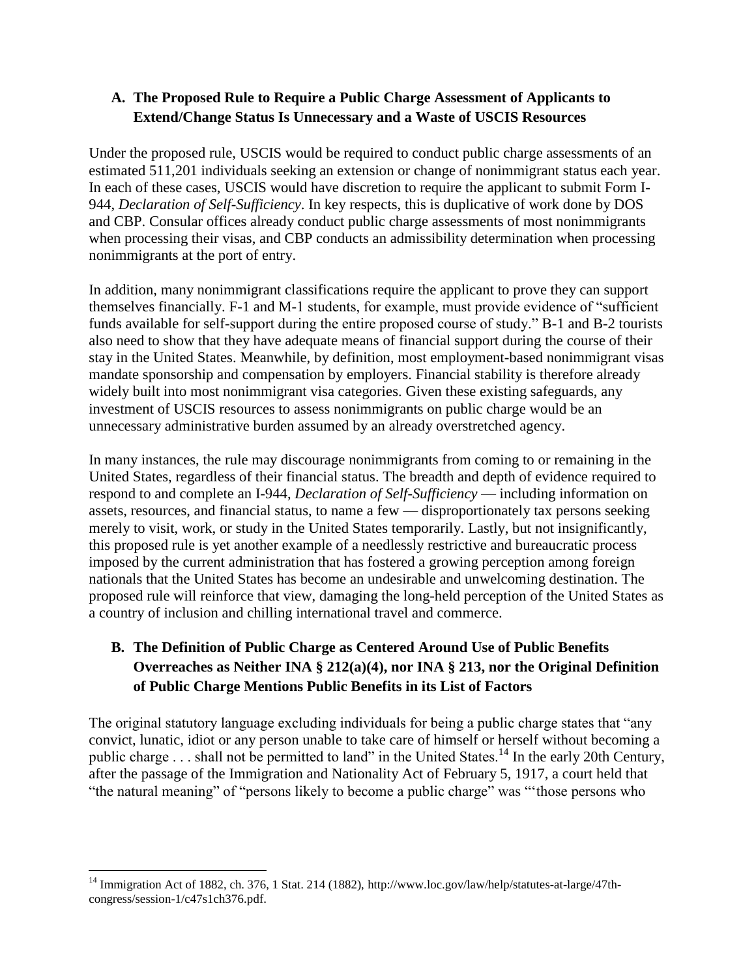# **A. The Proposed Rule to Require a Public Charge Assessment of Applicants to Extend/Change Status Is Unnecessary and a Waste of USCIS Resources**

Under the proposed rule, USCIS would be required to conduct public charge assessments of an estimated 511,201 individuals seeking an extension or change of nonimmigrant status each year. In each of these cases, USCIS would have discretion to require the applicant to submit Form I-944, *Declaration of Self-Sufficiency*. In key respects, this is duplicative of work done by DOS and CBP. Consular offices already conduct public charge assessments of most nonimmigrants when processing their visas, and CBP conducts an admissibility determination when processing nonimmigrants at the port of entry.

In addition, many nonimmigrant classifications require the applicant to prove they can support themselves financially. F-1 and M-1 students, for example, must provide evidence of "sufficient funds available for self-support during the entire proposed course of study." B-1 and B-2 tourists also need to show that they have adequate means of financial support during the course of their stay in the United States. Meanwhile, by definition, most employment-based nonimmigrant visas mandate sponsorship and compensation by employers. Financial stability is therefore already widely built into most nonimmigrant visa categories. Given these existing safeguards, any investment of USCIS resources to assess nonimmigrants on public charge would be an unnecessary administrative burden assumed by an already overstretched agency.

In many instances, the rule may discourage nonimmigrants from coming to or remaining in the United States, regardless of their financial status. The breadth and depth of evidence required to respond to and complete an I-944, *Declaration of Self-Sufficiency* — including information on assets, resources, and financial status, to name a few — disproportionately tax persons seeking merely to visit, work, or study in the United States temporarily. Lastly, but not insignificantly, this proposed rule is yet another example of a needlessly restrictive and bureaucratic process imposed by the current administration that has fostered a growing perception among foreign nationals that the United States has become an undesirable and unwelcoming destination. The proposed rule will reinforce that view, damaging the long-held perception of the United States as a country of inclusion and chilling international travel and commerce.

# **B. The Definition of Public Charge as Centered Around Use of Public Benefits Overreaches as Neither INA § 212(a)(4), nor INA § 213, nor the Original Definition of Public Charge Mentions Public Benefits in its List of Factors**

The original statutory language excluding individuals for being a public charge states that "any convict, lunatic, idiot or any person unable to take care of himself or herself without becoming a public charge . . . shall not be permitted to land" in the United States.<sup>14</sup> In the early 20th Century, after the passage of the Immigration and Nationality Act of February 5, 1917, a court held that "the natural meaning" of "persons likely to become a public charge" was "'those persons who

<sup>14</sup> Immigration Act of 1882, ch. 376, 1 Stat. 214 (1882), [http://www.loc.gov/law/help/statutes-at-large/47th](http://www.loc.gov/law/help/statutes-at-large/47th-congress/session-1/c47s1ch376.pdf)[congress/session-1/c47s1ch376.pdf.](http://www.loc.gov/law/help/statutes-at-large/47th-congress/session-1/c47s1ch376.pdf)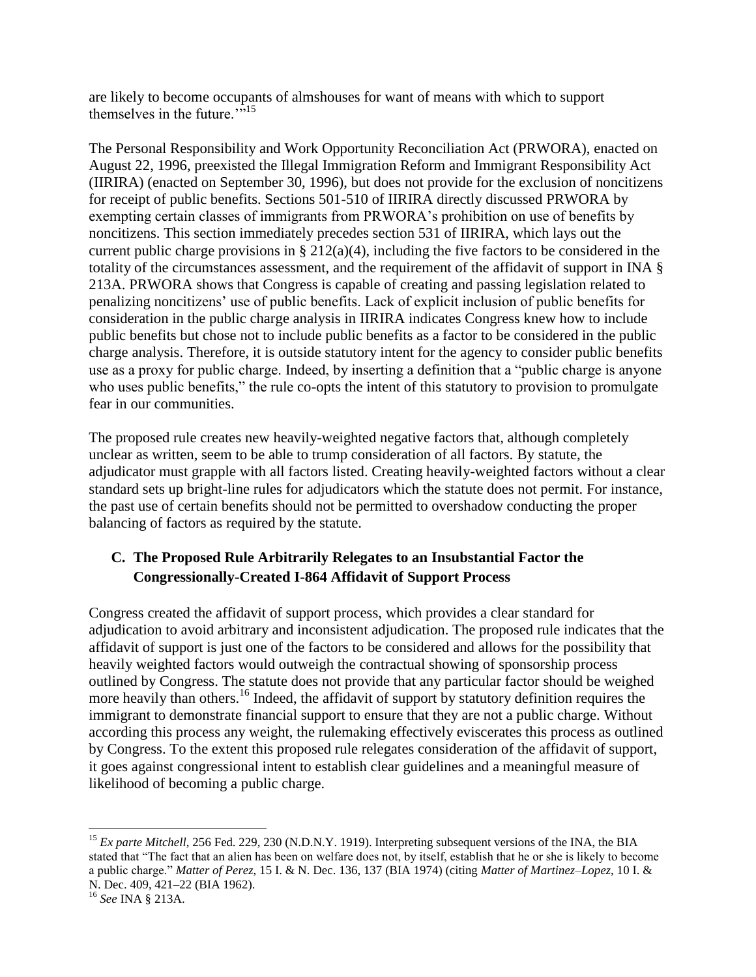are likely to become occupants of almshouses for want of means with which to support themselves in the future. $\cdot$ <sup>515</sup>

The Personal Responsibility and Work Opportunity Reconciliation Act (PRWORA), enacted on August 22, 1996, preexisted the Illegal Immigration Reform and Immigrant Responsibility Act (IIRIRA) (enacted on September 30, 1996), but does not provide for the exclusion of noncitizens for receipt of public benefits. Sections 501-510 of IIRIRA directly discussed PRWORA by exempting certain classes of immigrants from PRWORA's prohibition on use of benefits by noncitizens. This section immediately precedes section 531 of IIRIRA, which lays out the current public charge provisions in § 212(a)(4), including the five factors to be considered in the totality of the circumstances assessment, and the requirement of the affidavit of support in INA § 213A. PRWORA shows that Congress is capable of creating and passing legislation related to penalizing noncitizens' use of public benefits. Lack of explicit inclusion of public benefits for consideration in the public charge analysis in IIRIRA indicates Congress knew how to include public benefits but chose not to include public benefits as a factor to be considered in the public charge analysis. Therefore, it is outside statutory intent for the agency to consider public benefits use as a proxy for public charge. Indeed, by inserting a definition that a "public charge is anyone who uses public benefits," the rule co-opts the intent of this statutory to provision to promulgate fear in our communities.

The proposed rule creates new heavily-weighted negative factors that, although completely unclear as written, seem to be able to trump consideration of all factors. By statute, the adjudicator must grapple with all factors listed. Creating heavily-weighted factors without a clear standard sets up bright-line rules for adjudicators which the statute does not permit. For instance, the past use of certain benefits should not be permitted to overshadow conducting the proper balancing of factors as required by the statute.

# **C. The Proposed Rule Arbitrarily Relegates to an Insubstantial Factor the Congressionally-Created I-864 Affidavit of Support Process**

Congress created the affidavit of support process, which provides a clear standard for adjudication to avoid arbitrary and inconsistent adjudication. The proposed rule indicates that the affidavit of support is just one of the factors to be considered and allows for the possibility that heavily weighted factors would outweigh the contractual showing of sponsorship process outlined by Congress. The statute does not provide that any particular factor should be weighed more heavily than others.<sup>16</sup> Indeed, the affidavit of support by statutory definition requires the immigrant to demonstrate financial support to ensure that they are not a public charge. Without according this process any weight, the rulemaking effectively eviscerates this process as outlined by Congress. To the extent this proposed rule relegates consideration of the affidavit of support, it goes against congressional intent to establish clear guidelines and a meaningful measure of likelihood of becoming a public charge.

<sup>&</sup>lt;sup>15</sup> *Ex parte Mitchell*, 256 Fed. 229, 230 (N.D.N.Y. 1919). Interpreting subsequent versions of the INA, the BIA stated that "The fact that an alien has been on welfare does not, by itself, establish that he or she is likely to become a public charge." *Matter of Perez*, 15 I. & N. Dec. 136, 137 (BIA 1974) (citing *Matter of Martinez–Lopez*, 10 I. & N. Dec. 409, 421–22 (BIA 1962).

<sup>16</sup> *See* INA § 213A.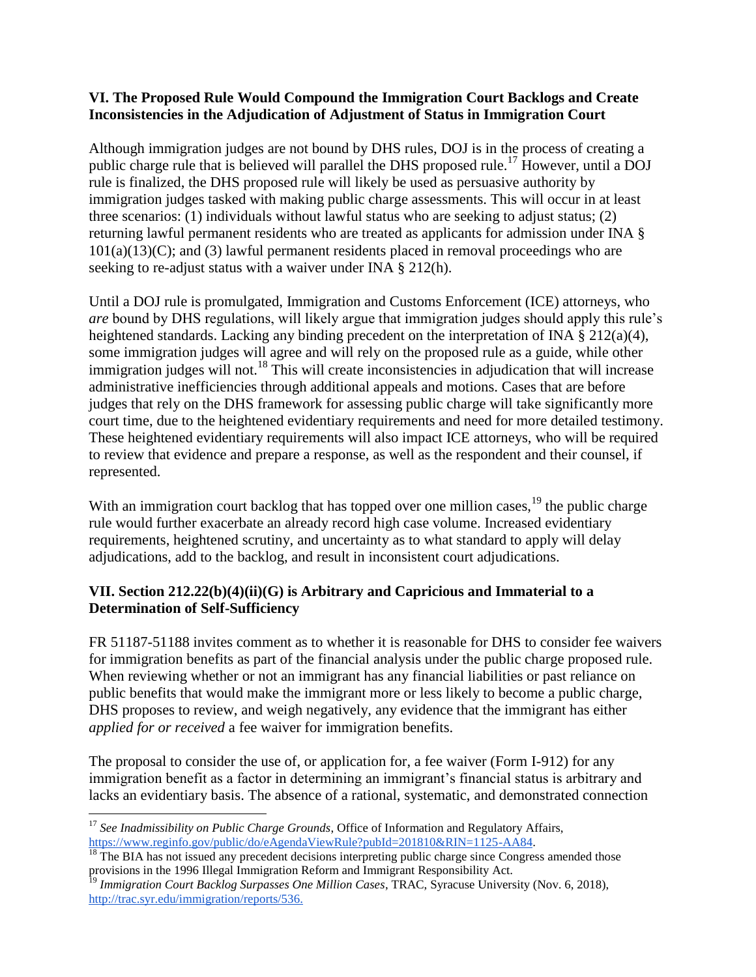#### **VI. The Proposed Rule Would Compound the Immigration Court Backlogs and Create Inconsistencies in the Adjudication of Adjustment of Status in Immigration Court**

Although immigration judges are not bound by DHS rules, DOJ is in the process of creating a public charge rule that is believed will parallel the DHS proposed rule.<sup>17</sup> However, until a DOJ rule is finalized, the DHS proposed rule will likely be used as persuasive authority by immigration judges tasked with making public charge assessments. This will occur in at least three scenarios: (1) individuals without lawful status who are seeking to adjust status; (2) returning lawful permanent residents who are treated as applicants for admission under INA §  $101(a)(13)(C)$ ; and (3) lawful permanent residents placed in removal proceedings who are seeking to re-adjust status with a waiver under INA § 212(h).

Until a DOJ rule is promulgated, Immigration and Customs Enforcement (ICE) attorneys, who *are* bound by DHS regulations, will likely argue that immigration judges should apply this rule's heightened standards. Lacking any binding precedent on the interpretation of INA § 212(a)(4), some immigration judges will agree and will rely on the proposed rule as a guide, while other immigration judges will not.<sup>18</sup> This will create inconsistencies in adjudication that will increase administrative inefficiencies through additional appeals and motions. Cases that are before judges that rely on the DHS framework for assessing public charge will take significantly more court time, due to the heightened evidentiary requirements and need for more detailed testimony. These heightened evidentiary requirements will also impact ICE attorneys, who will be required to review that evidence and prepare a response, as well as the respondent and their counsel, if represented.

With an immigration court backlog that has topped over one million cases,<sup>19</sup> the public charge rule would further exacerbate an already record high case volume. Increased evidentiary requirements, heightened scrutiny, and uncertainty as to what standard to apply will delay adjudications, add to the backlog, and result in inconsistent court adjudications.

### **VII. Section 212.22(b)(4)(ii)(G) is Arbitrary and Capricious and Immaterial to a Determination of Self-Sufficiency**

FR 51187-51188 invites comment as to whether it is reasonable for DHS to consider fee waivers for immigration benefits as part of the financial analysis under the public charge proposed rule. When reviewing whether or not an immigrant has any financial liabilities or past reliance on public benefits that would make the immigrant more or less likely to become a public charge, DHS proposes to review, and weigh negatively, any evidence that the immigrant has either *applied for or received* a fee waiver for immigration benefits.

The proposal to consider the use of, or application for, a fee waiver (Form I-912) for any immigration benefit as a factor in determining an immigrant's financial status is arbitrary and lacks an evidentiary basis. The absence of a rational, systematic, and demonstrated connection

 $\overline{a}$ <sup>17</sup> See Inadmissibility on Public Charge Grounds, Office of Information and Regulatory Affairs, [https://www.reginfo.gov/public/do/eAgendaViewRule?pubId=201810&RIN=1125-AA84.](https://www.reginfo.gov/public/do/eAgendaViewRule?pubId=201810&RIN=1125-AA84)

 $18$  The BIA has not issued any precedent decisions interpreting public charge since Congress amended those provisions in the 1996 Illegal Immigration Reform and Immigrant Responsibility Act.

<sup>19</sup> *Immigration Court Backlog Surpasses One Million Cases*, TRAC, Syracuse University (Nov. 6, 2018), [http://trac.syr.edu/immigration/reports/536.](http://trac.syr.edu/immigration/reports/536/)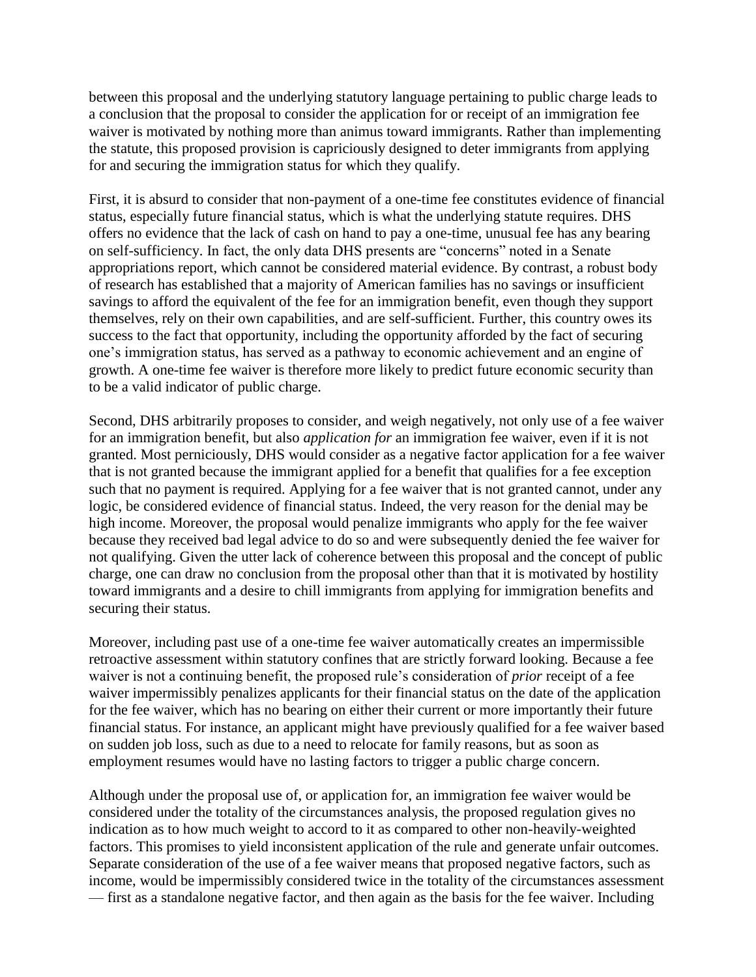between this proposal and the underlying statutory language pertaining to public charge leads to a conclusion that the proposal to consider the application for or receipt of an immigration fee waiver is motivated by nothing more than animus toward immigrants. Rather than implementing the statute, this proposed provision is capriciously designed to deter immigrants from applying for and securing the immigration status for which they qualify.

First, it is absurd to consider that non-payment of a one-time fee constitutes evidence of financial status, especially future financial status, which is what the underlying statute requires. DHS offers no evidence that the lack of cash on hand to pay a one-time, unusual fee has any bearing on self-sufficiency. In fact, the only data DHS presents are "concerns" noted in a Senate appropriations report, which cannot be considered material evidence. By contrast, a robust body of research has established that a majority of American families has no savings or insufficient savings to afford the equivalent of the fee for an immigration benefit, even though they support themselves, rely on their own capabilities, and are self-sufficient. Further, this country owes its success to the fact that opportunity, including the opportunity afforded by the fact of securing one's immigration status, has served as a pathway to economic achievement and an engine of growth. A one-time fee waiver is therefore more likely to predict future economic security than to be a valid indicator of public charge.

Second, DHS arbitrarily proposes to consider, and weigh negatively, not only use of a fee waiver for an immigration benefit, but also *application for* an immigration fee waiver, even if it is not granted. Most perniciously, DHS would consider as a negative factor application for a fee waiver that is not granted because the immigrant applied for a benefit that qualifies for a fee exception such that no payment is required. Applying for a fee waiver that is not granted cannot, under any logic, be considered evidence of financial status. Indeed, the very reason for the denial may be high income. Moreover, the proposal would penalize immigrants who apply for the fee waiver because they received bad legal advice to do so and were subsequently denied the fee waiver for not qualifying. Given the utter lack of coherence between this proposal and the concept of public charge, one can draw no conclusion from the proposal other than that it is motivated by hostility toward immigrants and a desire to chill immigrants from applying for immigration benefits and securing their status.

Moreover, including past use of a one-time fee waiver automatically creates an impermissible retroactive assessment within statutory confines that are strictly forward looking. Because a fee waiver is not a continuing benefit, the proposed rule's consideration of *prior* receipt of a fee waiver impermissibly penalizes applicants for their financial status on the date of the application for the fee waiver, which has no bearing on either their current or more importantly their future financial status. For instance, an applicant might have previously qualified for a fee waiver based on sudden job loss, such as due to a need to relocate for family reasons, but as soon as employment resumes would have no lasting factors to trigger a public charge concern.

Although under the proposal use of, or application for, an immigration fee waiver would be considered under the totality of the circumstances analysis, the proposed regulation gives no indication as to how much weight to accord to it as compared to other non-heavily-weighted factors. This promises to yield inconsistent application of the rule and generate unfair outcomes. Separate consideration of the use of a fee waiver means that proposed negative factors, such as income, would be impermissibly considered twice in the totality of the circumstances assessment — first as a standalone negative factor, and then again as the basis for the fee waiver. Including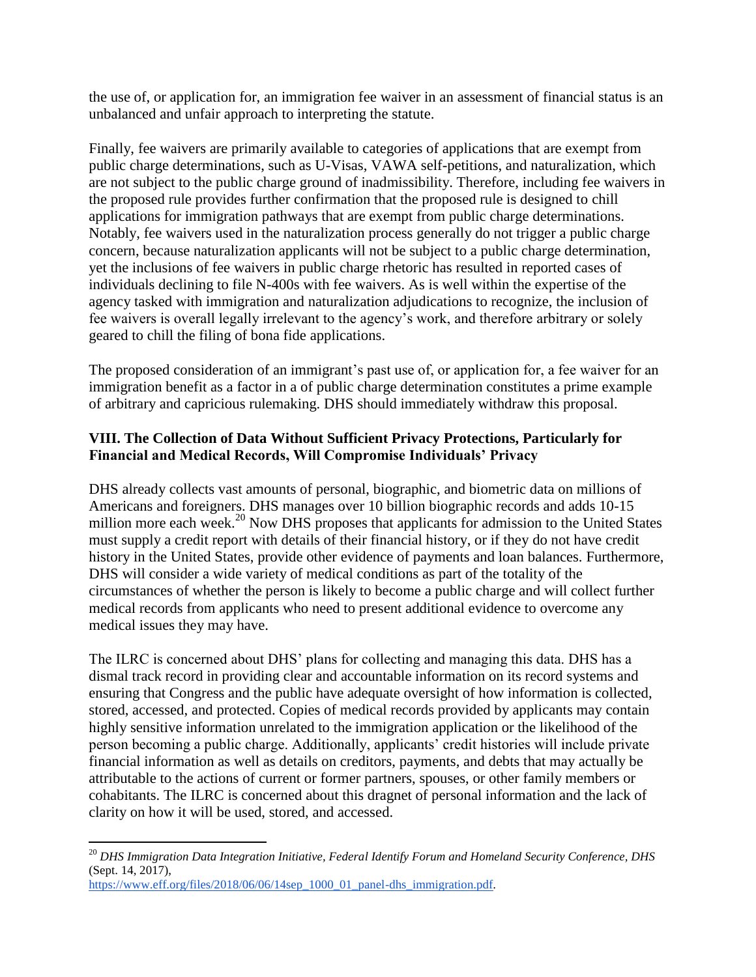the use of, or application for, an immigration fee waiver in an assessment of financial status is an unbalanced and unfair approach to interpreting the statute.

Finally, fee waivers are primarily available to categories of applications that are exempt from public charge determinations, such as U-Visas, VAWA self-petitions, and naturalization, which are not subject to the public charge ground of inadmissibility. Therefore, including fee waivers in the proposed rule provides further confirmation that the proposed rule is designed to chill applications for immigration pathways that are exempt from public charge determinations. Notably, fee waivers used in the naturalization process generally do not trigger a public charge concern, because naturalization applicants will not be subject to a public charge determination, yet the inclusions of fee waivers in public charge rhetoric has resulted in reported cases of individuals declining to file N-400s with fee waivers. As is well within the expertise of the agency tasked with immigration and naturalization adjudications to recognize, the inclusion of fee waivers is overall legally irrelevant to the agency's work, and therefore arbitrary or solely geared to chill the filing of bona fide applications.

The proposed consideration of an immigrant's past use of, or application for, a fee waiver for an immigration benefit as a factor in a of public charge determination constitutes a prime example of arbitrary and capricious rulemaking. DHS should immediately withdraw this proposal.

### **VIII. The Collection of Data Without Sufficient Privacy Protections, Particularly for Financial and Medical Records, Will Compromise Individuals' Privacy**

DHS already collects vast amounts of personal, biographic, and biometric data on millions of Americans and foreigners. DHS manages over 10 billion biographic records and adds 10-15 million more each week.<sup>20</sup> Now DHS proposes that applicants for admission to the United States must supply a credit report with details of their financial history, or if they do not have credit history in the United States, provide other evidence of payments and loan balances. Furthermore, DHS will consider a wide variety of medical conditions as part of the totality of the circumstances of whether the person is likely to become a public charge and will collect further medical records from applicants who need to present additional evidence to overcome any medical issues they may have.

The ILRC is concerned about DHS' plans for collecting and managing this data. DHS has a dismal track record in providing clear and accountable information on its record systems and ensuring that Congress and the public have adequate oversight of how information is collected, stored, accessed, and protected. Copies of medical records provided by applicants may contain highly sensitive information unrelated to the immigration application or the likelihood of the person becoming a public charge. Additionally, applicants' credit histories will include private financial information as well as details on creditors, payments, and debts that may actually be attributable to the actions of current or former partners, spouses, or other family members or cohabitants. The ILRC is concerned about this dragnet of personal information and the lack of clarity on how it will be used, stored, and accessed.

<sup>20</sup> *DHS Immigration Data Integration Initiative, Federal Identify Forum and Homeland Security Conference, DHS*  (Sept. 14, 2017),

https://www.eff.org/files/2018/06/06/14sep\_1000\_01\_panel-dhs\_immigration.pdf.